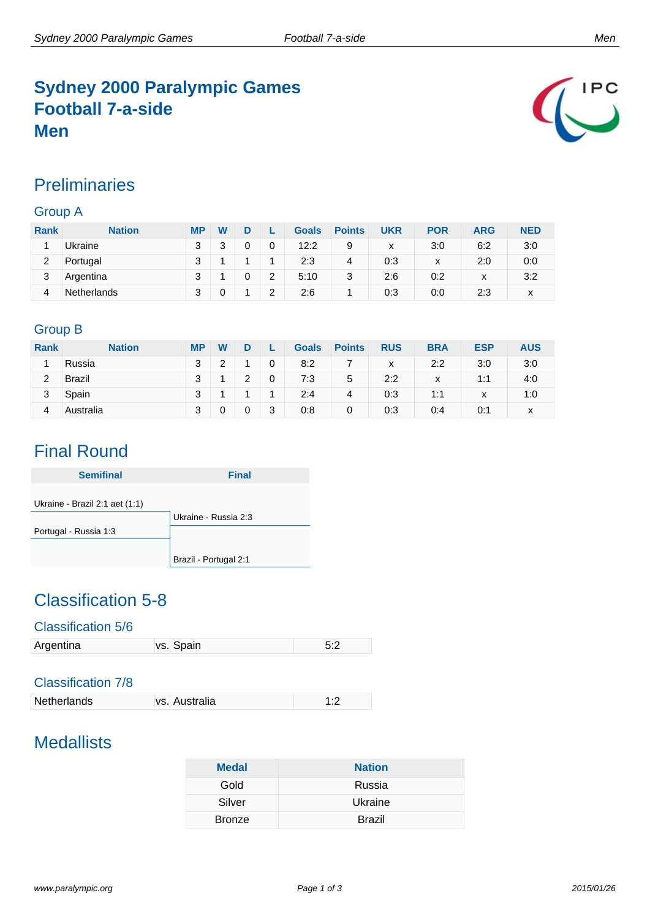### **Sydney 2000 Paralympic Games Football 7-a-side Men**



#### **Preliminaries**

#### Group A

| <b>Rank</b> | <b>Nation</b>      | <b>MP</b> | W |   |                | <b>Goals</b> | <b>Points</b> | <b>UKR</b> | <b>POR</b> | ARG          | <b>NED</b> |
|-------------|--------------------|-----------|---|---|----------------|--------------|---------------|------------|------------|--------------|------------|
|             | Ukraine            | 3         |   | 0 | 0              | 12:2         | 9             | x          | 3:0        | 6:2          | 3:0        |
| 2           | Portugal           | 2         |   |   |                | 2:3          | 4             | 0:3        | x          | 2:0          | 0:0        |
| 3           | Argentina          | ว         |   |   | $\overline{2}$ | 5:10         | 3             | 2:6        | 0:2        | $\checkmark$ | 3:2        |
|             | <b>Netherlands</b> | ว         |   |   | າ<br>∼         | 2:6          |               | 0:3        | 0:0        | 2:3          | x          |

#### Group B

| <b>Rank</b> | <b>Nation</b> | <b>MP</b> | $\mathbf w$ |   |             | <b>Goals</b> | <b>Points</b> | <b>RUS</b> | <b>BRA</b> | <b>ESP</b>        | <b>AUS</b> |
|-------------|---------------|-----------|-------------|---|-------------|--------------|---------------|------------|------------|-------------------|------------|
|             | Russia        | 3         | າ           |   | 0           | 8:2          |               | x          | 2:2        | 3:0               | 3:0        |
| 2           | <b>Brazil</b> | ঽ         |             | っ | $\mathbf 0$ | 7:3          | 5             | 2:2        | x          | 1:1               | 4:0        |
| 3           | Spain         | 3         |             |   |             | 2:4          | 4             | 0:3        | 1:1        | $\checkmark$<br>⋏ | 1:0        |
| 4           | Australia     | 3         |             | 0 | 3           | 0:8          | 0             | 0:3        | 0:4        | 0:1               | x          |

# Final Round

| <b>Semifinal</b>               | <b>Final</b>          |
|--------------------------------|-----------------------|
|                                |                       |
| Ukraine - Brazil 2:1 aet (1:1) |                       |
|                                | Ukraine - Russia 2:3  |
| Portugal - Russia 1:3          |                       |
|                                |                       |
|                                | Brazil - Portugal 2:1 |

## Classification 5-8

#### Classification 5/6

| Argentina | vs. Spain | 5:2 |
|-----------|-----------|-----|

#### Classification 7/8

| Netherlands | vs. Australia |  |
|-------------|---------------|--|
|             |               |  |

# **Medallists**

| <b>Medal</b>  | <b>Nation</b> |
|---------------|---------------|
| Gold          | Russia        |
| Silver        | Ukraine       |
| <b>Bronze</b> | <b>Brazil</b> |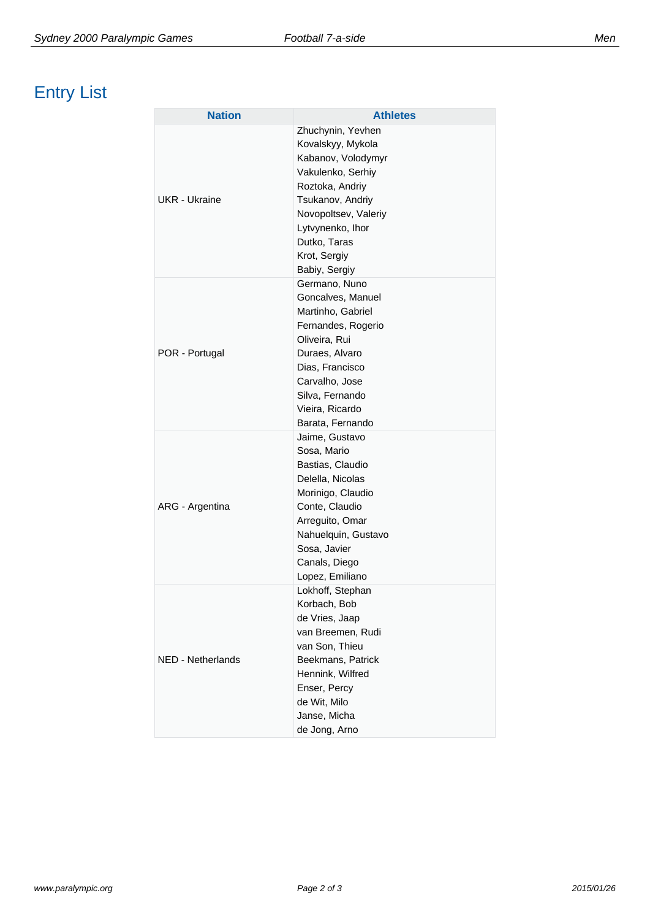# Entry List

| <b>Nation</b>     | <b>Athletes</b>                                                                                                                                                                                                       |
|-------------------|-----------------------------------------------------------------------------------------------------------------------------------------------------------------------------------------------------------------------|
| UKR - Ukraine     | Zhuchynin, Yevhen<br>Kovalskyy, Mykola<br>Kabanov, Volodymyr<br>Vakulenko, Serhiy<br>Roztoka, Andriy<br>Tsukanov, Andriy<br>Novopoltsev, Valeriy<br>Lytvynenko, Ihor<br>Dutko, Taras<br>Krot, Sergiy<br>Babiy, Sergiy |
| POR - Portugal    | Germano, Nuno<br>Goncalves, Manuel<br>Martinho, Gabriel<br>Fernandes, Rogerio<br>Oliveira, Rui<br>Duraes, Alvaro<br>Dias, Francisco<br>Carvalho, Jose<br>Silva, Fernando<br>Vieira, Ricardo<br>Barata, Fernando       |
| ARG - Argentina   | Jaime, Gustavo<br>Sosa, Mario<br>Bastias, Claudio<br>Delella, Nicolas<br>Morinigo, Claudio<br>Conte, Claudio<br>Arreguito, Omar<br>Nahuelquin, Gustavo<br>Sosa, Javier<br>Canals, Diego<br>Lopez, Emiliano            |
| NED - Netherlands | Lokhoff, Stephan<br>Korbach, Bob<br>de Vries, Jaap<br>van Breemen, Rudi<br>van Son, Thieu<br>Beekmans, Patrick<br>Hennink, Wilfred<br>Enser, Percy<br>de Wit, Milo<br>Janse, Micha<br>de Jong, Arno                   |